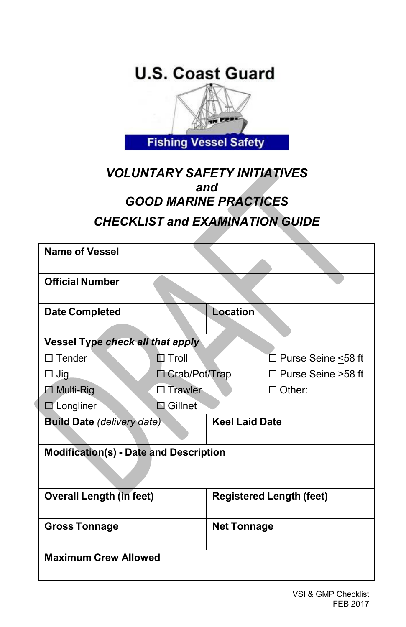



#### *VOLUNTARY SAFETY INITIATIVES and GOOD MARINE PRACTICES*

*CHECKLIST and EXAMINATION GUIDE*

| <b>Name of Vessel</b>                         |                   |                       |                                 |
|-----------------------------------------------|-------------------|-----------------------|---------------------------------|
| <b>Official Number</b>                        |                   |                       |                                 |
| <b>Date Completed</b>                         |                   | <b>Location</b>       |                                 |
| <b>Vessel Type check all that apply</b>       |                   |                       |                                 |
| $\Box$ Tender                                 | $\Box$ Troll      |                       | □ Purse Seine <u>&lt;</u> 58 ft |
| $\Box$ Jig                                    | □ Crab/Pot/Trap   |                       | $\Box$ Purse Seine >58 ft       |
| □ Multi-Rig                                   | $\square$ Trawler |                       | $\Box$ Other:                   |
| $\Box$ Longliner                              | <b>□ Gillnet</b>  |                       |                                 |
| <b>Build Date (delivery date)</b>             |                   | <b>Keel Laid Date</b> |                                 |
| <b>Modification(s) - Date and Description</b> |                   |                       |                                 |
| <b>Overall Length (in feet)</b>               |                   |                       | <b>Registered Length (feet)</b> |
| <b>Gross Tonnage</b>                          |                   | <b>Net Tonnage</b>    |                                 |
| <b>Maximum Crew Allowed</b>                   |                   |                       |                                 |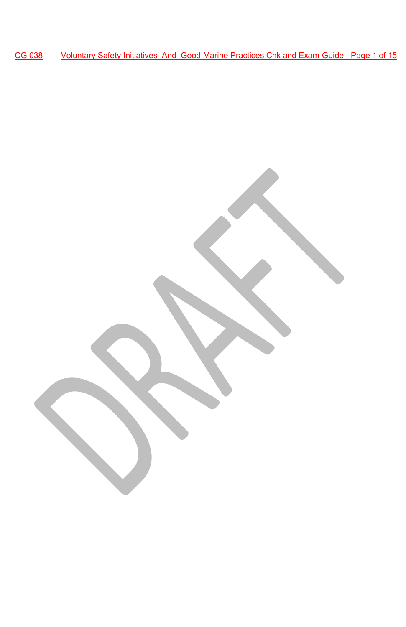CG 038 Voluntary Safety Initiatives And Good Marine Practices Chk and Exam Guide Page 1 of 15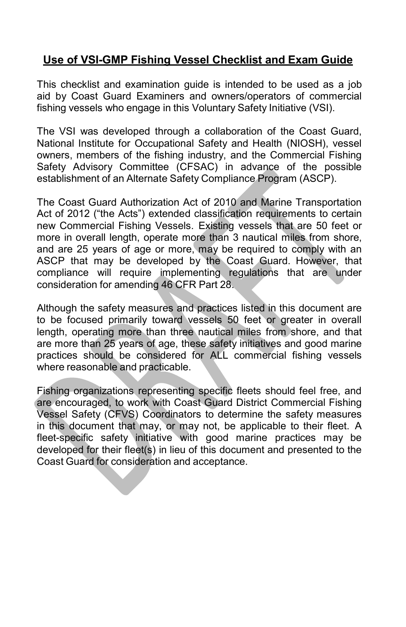#### **Use of VSI-GMP Fishing Vessel Checklist and Exam Guide**

This checklist and examination guide is intended to be used as a job aid by Coast Guard Examiners and owners/operators of commercial fishing vessels who engage in this Voluntary Safety Initiative (VSI).

The VSI was developed through a collaboration of the Coast Guard, National Institute for Occupational Safety and Health (NIOSH), vessel owners, members of the fishing industry, and the Commercial Fishing Safety Advisory Committee (CFSAC) in advance of the possible establishment of an Alternate Safety Compliance Program (ASCP).

The Coast Guard Authorization Act of 2010 and Marine Transportation Act of 2012 ("the Acts") extended classification requirements to certain new Commercial Fishing Vessels. Existing vessels that are 50 feet or more in overall length, operate more than 3 nautical miles from shore, and are 25 years of age or more, may be required to comply with an ASCP that may be developed by the Coast Guard. However, that compliance will require implementing regulations that are under consideration for amending 46 CFR Part 28.

Although the safety measures and practices listed in this document are to be focused primarily toward vessels 50 feet or greater in overall length, operating more than three nautical miles from shore, and that are more than 25 years of age, these safety initiatives and good marine practices should be considered for ALL commercial fishing vessels where reasonable and practicable.

Fishing organizations representing specific fleets should feel free, and are encouraged, to work with Coast Guard District Commercial Fishing Vessel Safety (CFVS) Coordinators to determine the safety measures in this document that may, or may not, be applicable to their fleet. A fleet-specific safety initiative with good marine practices may be developed for their fleet(s) in lieu of this document and presented to the Coast Guard for consideration and acceptance.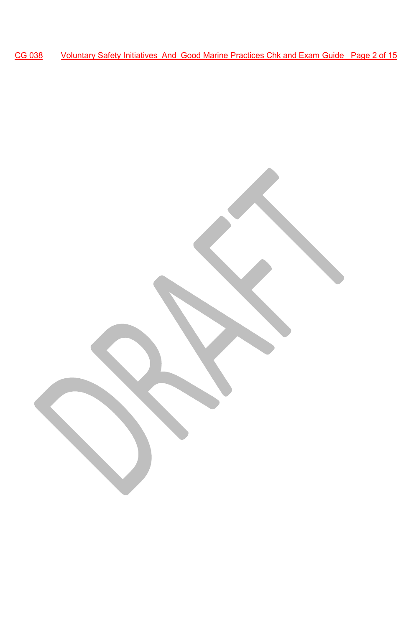CG 038 Voluntary Safety Initiatives And Good Marine Practices Chk and Exam Guide Page 2 of 15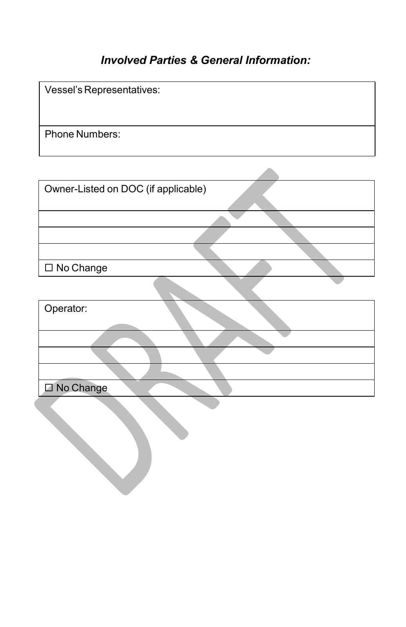#### *Involved Parties & General Information:*

Vessel's Representatives: Phone Numbers:

Owner-Listed on DOC (if applicable) □ No Change

| Operator:   |  |
|-------------|--|
|             |  |
|             |  |
|             |  |
| □ No Change |  |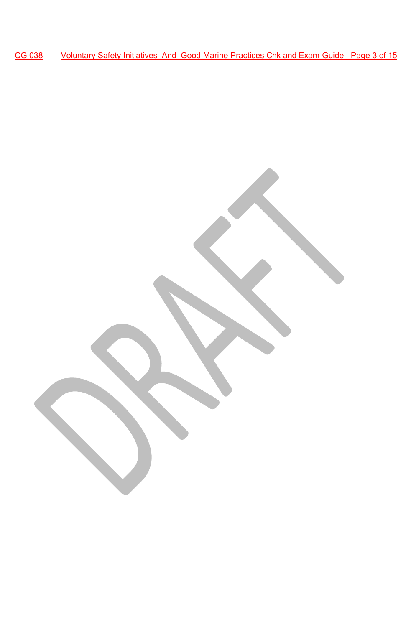CG 038 Voluntary Safety Initiatives And Good Marine Practices Chk and Exam Guide Page 3 of 15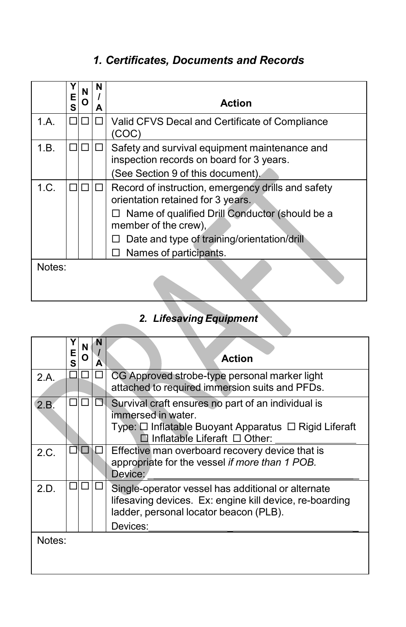### *1. Certificates, Documents and Records*

|        | E<br>S |    | N<br>А         | <b>Action</b>                                                                                                                                                                                                                              |
|--------|--------|----|----------------|--------------------------------------------------------------------------------------------------------------------------------------------------------------------------------------------------------------------------------------------|
| 1.A.   |        | П  |                | Valid CFVS Decal and Certificate of Compliance<br>COC)                                                                                                                                                                                     |
| 1.B.   |        | 00 | ΙI             | Safety and survival equipment maintenance and<br>inspection records on board for 3 years.<br>See Section 9 of this document).                                                                                                              |
| 1.C.   |        | П  | $\blacksquare$ | Record of instruction, emergency drills and safety<br>orientation retained for 3 years.<br>Name of qualified Drill Conductor (should be a<br>member of the crew),<br>Date and type of training/orientation/drill<br>Names of participants. |
| Notes: |        |    |                |                                                                                                                                                                                                                                            |

#### *2. Lifesaving Equipment*

|        | E<br>S | N<br>Ο | A  | <b>Action</b>                                                                                                                                                                 |
|--------|--------|--------|----|-------------------------------------------------------------------------------------------------------------------------------------------------------------------------------|
| 2.A.   |        |        |    | CG Approved strobe-type personal marker light<br>attached to required immersion suits and PFDs.                                                                               |
| 2.B.   |        |        | D. | Survival craft ensures no part of an individual is<br>immersed in water.<br>Type: □ Inflatable Buoyant Apparatus □ Rigid Liferaft<br>$\Box$ Inflatable Liferaft $\Box$ Other: |
| 2.C.   |        | П      |    | Effective man overboard recovery device that is<br>appropriate for the vessel if more than 1 POB.<br>Device:                                                                  |
| 2D     |        |        |    | Single-operator vessel has additional or alternate<br>lifesaving devices. Ex: engine kill device, re-boarding<br>ladder, personal locator beacon (PLB).<br>Devices:           |
| Notes: |        |        |    |                                                                                                                                                                               |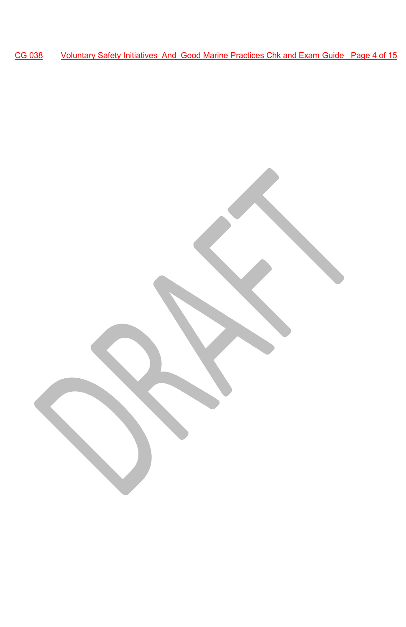CG 038 Voluntary Safety Initiatives And Good Marine Practices Chk and Exam Guide Page 4 of 15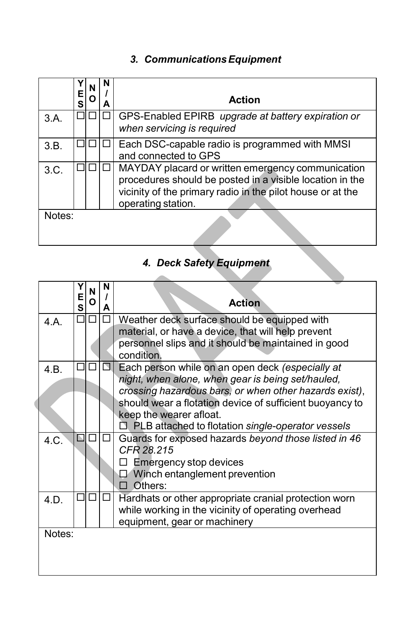#### *3. CommunicationsEquipment*

|        | E.<br>S | n | N<br>А | <b>Action</b>                                                                                                                                                                                     |
|--------|---------|---|--------|---------------------------------------------------------------------------------------------------------------------------------------------------------------------------------------------------|
| 3.A.   |         |   |        | GPS-Enabled EPIRB upgrade at battery expiration or<br>when servicing is required                                                                                                                  |
| 3.B.   |         |   |        | Each DSC-capable radio is programmed with MMSI<br>and connected to GPS                                                                                                                            |
| 3.C.   |         |   |        | MAYDAY placard or written emergency communication<br>procedures should be posted in a visible location in the<br>vicinity of the primary radio in the pilot house or at the<br>operating station. |
| Notes: |         |   |        |                                                                                                                                                                                                   |

# *4. Deck Safety Equipment*

**COLL** 

|        | Е<br>S | N<br>Ο | N<br>A | <b>Action</b>                                                                                                |
|--------|--------|--------|--------|--------------------------------------------------------------------------------------------------------------|
| 4.A.   |        |        |        | Weather deck surface should be equipped with<br>material, or have a device, that will help prevent           |
|        |        |        |        | personnel slips and it should be maintained in good<br>condition.                                            |
| 4.B.   |        |        | N      | Each person while on an open deck (especially at<br>night, when alone, when gear is being set/hauled,        |
|        |        |        |        | crossing hazardous bars, or when other hazards exist),                                                       |
|        |        |        |        | should wear a flotation device of sufficient buoyancy to                                                     |
|        |        |        |        | keep the wearer afloat.<br>$\Box$ PLB attached to flotation single-operator vessels                          |
| 4.C.   |        | П      |        | Guards for exposed hazards beyond those listed in 46<br>CFR 28.215                                           |
|        |        |        |        | <b>Emergency stop devices</b>                                                                                |
|        |        |        |        | Winch entanglement prevention<br>Others:                                                                     |
| 4.D.   |        | □      | ⊔      | Hardhats or other appropriate cranial protection worn<br>while working in the vicinity of operating overhead |
|        |        |        |        | equipment, gear or machinery                                                                                 |
| Notes: |        |        |        |                                                                                                              |
|        |        |        |        |                                                                                                              |
|        |        |        |        |                                                                                                              |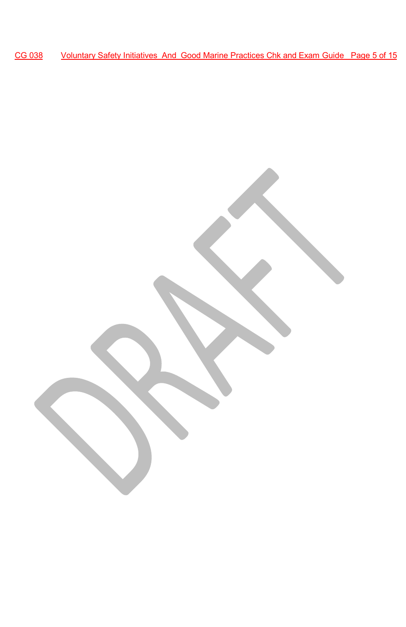CG 038 Voluntary Safety Initiatives And Good Marine Practices Chk and Exam Guide Page 5 of 15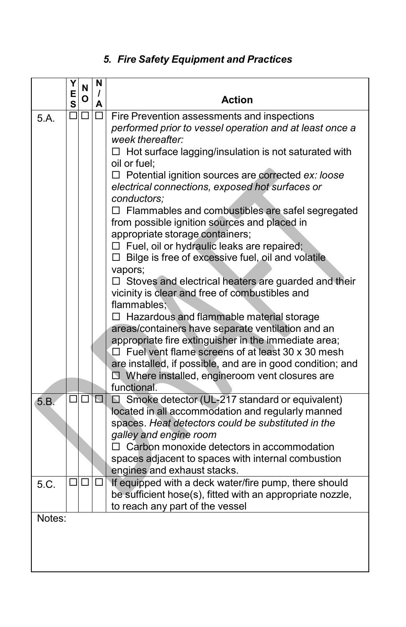#### *5. Fire Safety Equipment and Practices*

|        | Y<br>E<br>S | N<br>O | N<br>$\prime$<br>А | <b>Action</b>                                                                                          |
|--------|-------------|--------|--------------------|--------------------------------------------------------------------------------------------------------|
|        |             |        | п                  |                                                                                                        |
| 5.A.   |             |        |                    | Fire Prevention assessments and inspections<br>performed prior to vessel operation and at least once a |
|        |             |        |                    | week thereafter:                                                                                       |
|        |             |        |                    |                                                                                                        |
|        |             |        |                    | $\Box$ Hot surface lagging/insulation is not saturated with                                            |
|        |             |        |                    | oil or fuel;                                                                                           |
|        |             |        |                    | $\Box$ Potential ignition sources are corrected ex: loose                                              |
|        |             |        |                    | electrical connections, exposed hot surfaces or                                                        |
|        |             |        |                    | conductors:                                                                                            |
|        |             |        |                    | $\Box$ Flammables and combustibles are safel segregated                                                |
|        |             |        |                    | from possible ignition sources and placed in                                                           |
|        |             |        |                    | appropriate storage containers;                                                                        |
|        |             |        |                    | □ Fuel, oil or hydraulic leaks are repaired;                                                           |
|        |             |        |                    | □ Bilge is free of excessive fuel, oil and volatile                                                    |
|        |             |        |                    | vapors;                                                                                                |
|        |             |        |                    | □ Stoves and electrical heaters are guarded and their                                                  |
|        |             |        |                    | vicinity is clear and free of combustibles and                                                         |
|        |             |        |                    | flammables:                                                                                            |
|        |             |        |                    | □ Hazardous and flammable material storage                                                             |
|        |             |        |                    | areas/containers have separate ventilation and an                                                      |
|        |             |        |                    | appropriate fire extinguisher in the immediate area;                                                   |
|        |             |        |                    | $\Box$ Fuel vent flame screens of at least 30 x 30 mesh                                                |
|        |             |        |                    | are installed, if possible, and are in good condition; and                                             |
|        |             |        |                    | $\Box$ Where installed, engineroom vent closures are                                                   |
|        |             |        |                    | functional.                                                                                            |
| 5.B.   |             | ПП)    | ⊡                  | $\Box$ Smoke detector (UL-217 standard or equivalent)                                                  |
|        |             |        |                    | located in all accommodation and regularly manned                                                      |
|        |             |        |                    | spaces. Heat detectors could be substituted in the                                                     |
|        |             |        |                    | galley and engine room                                                                                 |
|        |             |        |                    | Carbon monoxide detectors in accommodation<br>П                                                        |
|        |             |        |                    | spaces adjacent to spaces with internal combustion                                                     |
|        |             |        |                    | engines and exhaust stacks.                                                                            |
| 5.C.   |             | ПIП    | □                  | If equipped with a deck water/fire pump, there should                                                  |
|        |             |        |                    | be sufficient hose(s), fitted with an appropriate nozzle,                                              |
|        |             |        |                    | to reach any part of the vessel                                                                        |
| Notes: |             |        |                    |                                                                                                        |
|        |             |        |                    |                                                                                                        |
|        |             |        |                    |                                                                                                        |
|        |             |        |                    |                                                                                                        |
|        |             |        |                    |                                                                                                        |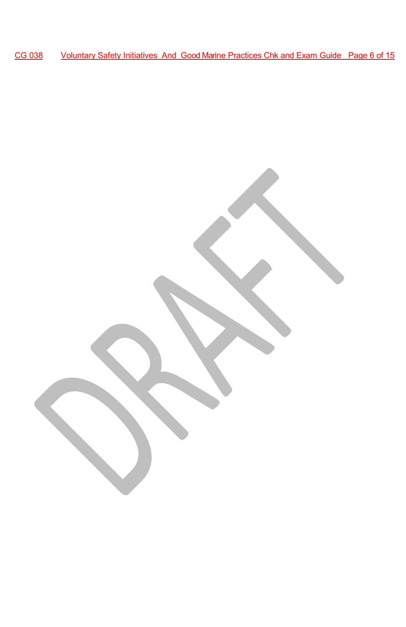CG 038 Voluntary Safety Initiatives And Good Marine Practices Chk and Exam Guide Page 6 of 15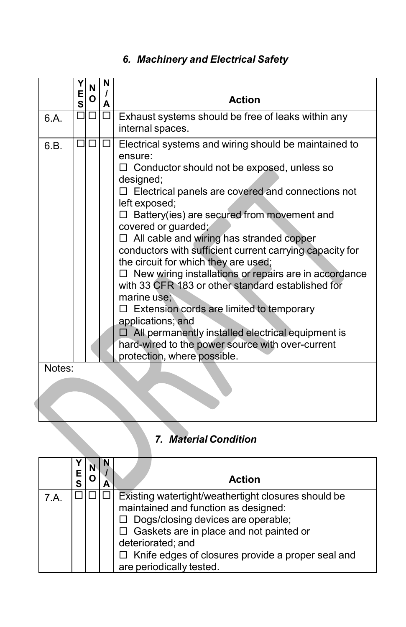#### *6. Machinery and Electrical Safety*

|        | E<br>S | N<br>$\mathbf{o}$ | N<br>A | <b>Action</b>                                                                                                                                                                                                                                                                                                                                                                                                                                                                                                                                                                                                                                                                                                                                                                                            |
|--------|--------|-------------------|--------|----------------------------------------------------------------------------------------------------------------------------------------------------------------------------------------------------------------------------------------------------------------------------------------------------------------------------------------------------------------------------------------------------------------------------------------------------------------------------------------------------------------------------------------------------------------------------------------------------------------------------------------------------------------------------------------------------------------------------------------------------------------------------------------------------------|
| 6.A.   |        | п                 | П      | Exhaust systems should be free of leaks within any<br>internal spaces.                                                                                                                                                                                                                                                                                                                                                                                                                                                                                                                                                                                                                                                                                                                                   |
| 6.B.   |        | піп               | □      | Electrical systems and wiring should be maintained to<br>ensure:<br>$\Box$ Conductor should not be exposed, unless so<br>designed;<br>$\Box$ Electrical panels are covered and connections not<br>left exposed;<br>$\Box$ Battery(ies) are secured from movement and<br>covered or guarded;<br>$\Box$ All cable and wiring has stranded copper<br>conductors with sufficient current carrying capacity for<br>the circuit for which they are used;<br>$\Box$ New wiring installations or repairs are in accordance<br>with 33 CFR 183 or other standard established for<br>marine use;<br>□ Extension cords are limited to temporary<br>applications; and<br>$\Box$ All permanently installed electrical equipment is<br>hard-wired to the power source with over-current<br>protection, where possible. |
| Notes: |        |                   |        |                                                                                                                                                                                                                                                                                                                                                                                                                                                                                                                                                                                                                                                                                                                                                                                                          |

#### *7. Material Condition*

|     | S |  | Action                                                                                                                                                                                                                                                                                           |
|-----|---|--|--------------------------------------------------------------------------------------------------------------------------------------------------------------------------------------------------------------------------------------------------------------------------------------------------|
| 7.A |   |  | Existing watertight/weathertight closures should be<br>maintained and function as designed:<br>Dogs/closing devices are operable;<br>$\Box$ Gaskets are in place and not painted or<br>deteriorated; and<br>$\Box$ Knife edges of closures provide a proper seal and<br>are periodically tested. |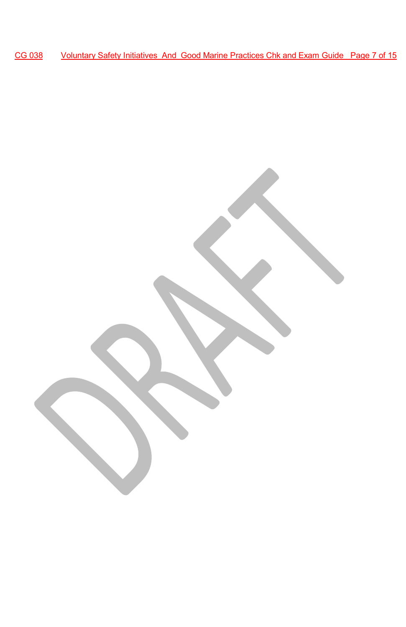CG 038 Voluntary Safety Initiatives And Good Marine Practices Chk and Exam Guide Page 7 of 15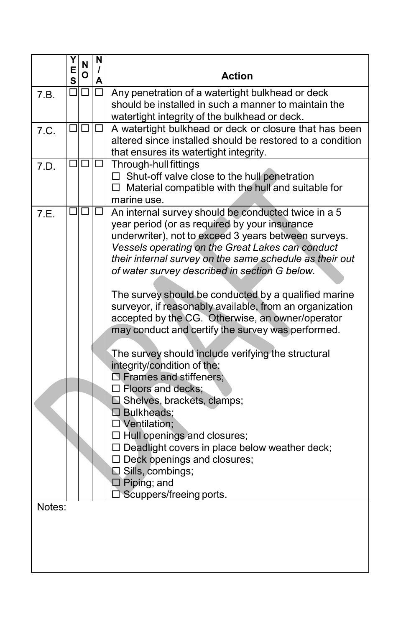|        | Υ<br>E | N<br>O | N<br>$\prime$ | <b>Action</b>                                                                                                       |
|--------|--------|--------|---------------|---------------------------------------------------------------------------------------------------------------------|
|        | S      |        | A             |                                                                                                                     |
| 7.B.   |        |        | □             | Any penetration of a watertight bulkhead or deck                                                                    |
|        |        |        |               | should be installed in such a manner to maintain the                                                                |
|        |        | $\Box$ | □             | watertight integrity of the bulkhead or deck.                                                                       |
| 7.C.   |        |        |               | A watertight bulkhead or deck or closure that has been<br>altered since installed should be restored to a condition |
|        |        |        |               | that ensures its watertight integrity.                                                                              |
| 7.D.   |        | 00     | □             | Through-hull fittings                                                                                               |
|        |        |        |               | $\Box$ Shut-off valve close to the hull penetration                                                                 |
|        |        |        |               | □ Material compatible with the hull and suitable for                                                                |
|        |        |        |               | marine use.                                                                                                         |
| 7.E.   |        | 00     | □             | An internal survey should be conducted twice in a 5                                                                 |
|        |        |        |               | year period (or as required by your insurance                                                                       |
|        |        |        |               | underwriter), not to exceed 3 years between surveys.                                                                |
|        |        |        |               | Vessels operating on the Great Lakes can conduct                                                                    |
|        |        |        |               | their internal survey on the same schedule as their out                                                             |
|        |        |        |               | of water survey described in section G below.                                                                       |
|        |        |        |               |                                                                                                                     |
|        |        |        |               | The survey should be conducted by a qualified marine                                                                |
|        |        |        |               | surveyor, if reasonably available, from an organization                                                             |
|        |        |        |               | accepted by the CG. Otherwise, an owner/operator                                                                    |
|        |        |        |               | may conduct and certify the survey was performed.                                                                   |
|        |        |        |               |                                                                                                                     |
|        |        |        |               | The survey should include verifying the structural                                                                  |
|        |        |        |               | integrity/condition of the:                                                                                         |
|        |        |        |               | $\Box$ Frames and stiffeners;                                                                                       |
|        |        |        |               | $\square$ Floors and decks;                                                                                         |
|        |        |        |               | □ Shelves, brackets, clamps;                                                                                        |
|        |        |        |               | D Bulkheads;<br>□ Ventilation;                                                                                      |
|        |        |        |               | $\Box$ Hull openings and closures;                                                                                  |
|        |        |        |               | □ Deadlight covers in place below weather deck;                                                                     |
|        |        |        |               | $\Box$ Deck openings and closures;                                                                                  |
|        |        |        |               | $\Box$ Sills, combings;                                                                                             |
|        |        |        |               | Piping; and                                                                                                         |
|        |        |        |               | □ Scuppers/freeing ports.                                                                                           |
| Notes: |        |        |               |                                                                                                                     |
|        |        |        |               |                                                                                                                     |
|        |        |        |               |                                                                                                                     |
|        |        |        |               |                                                                                                                     |
|        |        |        |               |                                                                                                                     |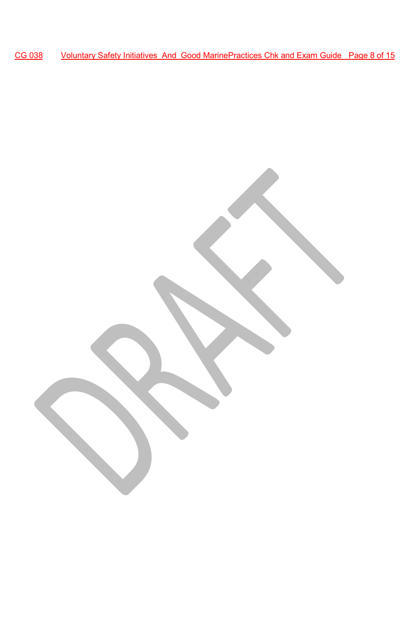CG 038 Voluntary Safety Initiatives And Good MarinePractices Chk and Exam Guide Page 8 of 15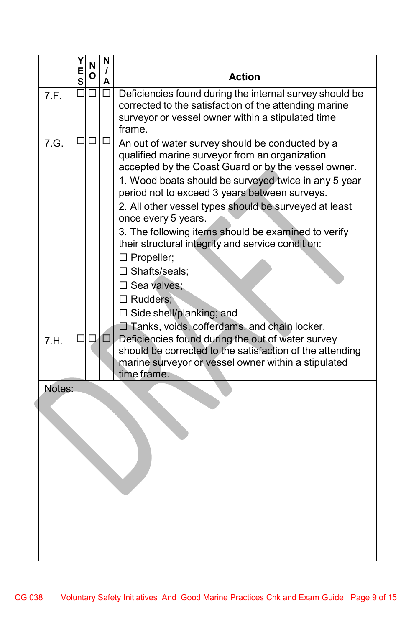|        | E      | N<br>$\mathsf{o}$ | N<br>T      | <b>Action</b>                                                                                                                                                                                                                                                                                                                                                                                                                                                                                                                                                                                                               |
|--------|--------|-------------------|-------------|-----------------------------------------------------------------------------------------------------------------------------------------------------------------------------------------------------------------------------------------------------------------------------------------------------------------------------------------------------------------------------------------------------------------------------------------------------------------------------------------------------------------------------------------------------------------------------------------------------------------------------|
| 7.F.   | S<br>П | $\Box$            | A<br>$\Box$ | Deficiencies found during the internal survey should be<br>corrected to the satisfaction of the attending marine<br>surveyor or vessel owner within a stipulated time<br>frame.                                                                                                                                                                                                                                                                                                                                                                                                                                             |
| 7.G.   |        | $\Box$ $\Box$     | □           | An out of water survey should be conducted by a<br>qualified marine surveyor from an organization<br>accepted by the Coast Guard or by the vessel owner.<br>1. Wood boats should be surveyed twice in any 5 year<br>period not to exceed 3 years between surveys.<br>2. All other vessel types should be surveyed at least<br>once every 5 years.<br>3. The following items should be examined to verify<br>their structural integrity and service condition:<br>$\square$ Propeller;<br>□ Shafts/seals;<br>□ Sea valves;<br>$\Box$ Rudders;<br>□ Side shell/planking; and<br>□ Tanks, voids, cofferdams, and chain locker. |
| 7.H.   |        | $\Box$            | $\Box$      | Deficiencies found during the out of water survey<br>should be corrected to the satisfaction of the attending<br>marine surveyor or vessel owner within a stipulated<br>time frame.                                                                                                                                                                                                                                                                                                                                                                                                                                         |
| Notes: |        |                   |             |                                                                                                                                                                                                                                                                                                                                                                                                                                                                                                                                                                                                                             |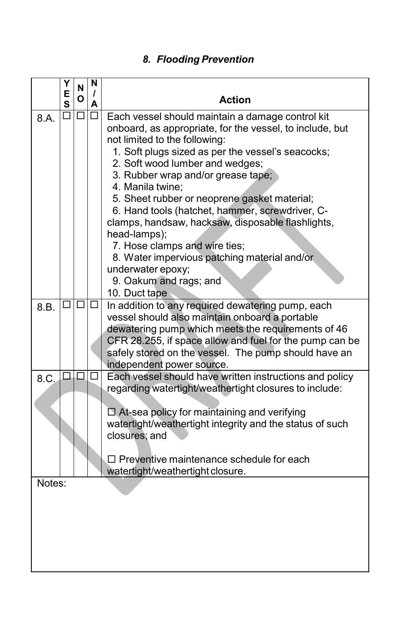#### *8. Flooding Prevention*

|        | Y      | N  | N      |                                                          |
|--------|--------|----|--------|----------------------------------------------------------|
|        | E<br>S | O  | I<br>A | <b>Action</b>                                            |
| 8.A.   | П      | п  | $\Box$ | Each vessel should maintain a damage control kit         |
|        |        |    |        | onboard, as appropriate, for the vessel, to include, but |
|        |        |    |        | not limited to the following:                            |
|        |        |    |        | 1. Soft plugs sized as per the vessel's seacocks;        |
|        |        |    |        | 2. Soft wood lumber and wedges;                          |
|        |        |    |        | 3. Rubber wrap and/or grease tape;                       |
|        |        |    |        | 4. Manila twine;                                         |
|        |        |    |        | 5. Sheet rubber or neoprene gasket material;             |
|        |        |    |        | 6. Hand tools (hatchet, hammer, screwdriver, C-          |
|        |        |    |        | clamps, handsaw, hacksaw, disposable flashlights,        |
|        |        |    |        | head-lamps);                                             |
|        |        |    |        | 7. Hose clamps and wire ties;                            |
|        |        |    |        | 8. Water impervious patching material and/or             |
|        |        |    |        | underwater epoxy;<br>9. Oakum and rags; and              |
|        |        |    |        | 10. Duct tape                                            |
| 8.B.   |        |    |        | In addition to any required dewatering pump, each        |
|        |        |    |        | vessel should also maintain onboard a portable           |
|        |        |    |        | dewatering pump which meets the requirements of 46       |
|        |        |    |        | CFR 28.255, if space allow and fuel for the pump can be  |
|        |        |    |        | safely stored on the vessel. The pump should have an     |
|        |        |    |        | independent power source.                                |
| 8.C.   |        | ДД | □      | Each vessel should have written instructions and policy  |
|        |        |    |        | regarding watertight/weathertight closures to include:   |
|        |        |    |        |                                                          |
|        |        |    |        | $\Box$ At-sea policy for maintaining and verifying       |
|        |        |    |        | watertight/weathertight integrity and the status of such |
|        |        |    |        | closures; and                                            |
|        |        |    |        |                                                          |
|        |        |    |        | $\Box$ Preventive maintenance schedule for each          |
|        |        |    |        | watertight/weathertight closure.                         |
| Notes: |        |    |        |                                                          |
|        |        |    |        |                                                          |
|        |        |    |        |                                                          |
|        |        |    |        |                                                          |
|        |        |    |        |                                                          |
|        |        |    |        |                                                          |
|        |        |    |        |                                                          |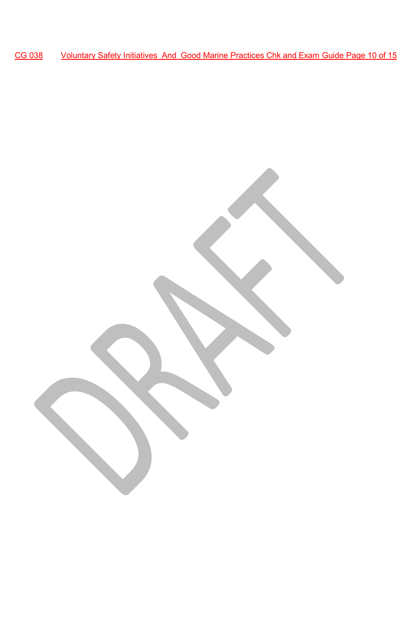CG 038 Voluntary Safety Initiatives And Good Marine Practices Chk and Exam Guide Page 10 of 15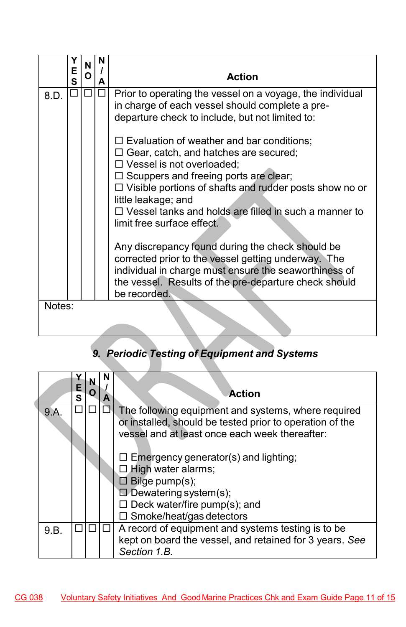|        | Е<br>Ś | N | N<br>A                   | <b>Action</b>                                                                                                                                                                                                                                                                                                                                                                                                                                                                                                                                                                                                                                                                                                                                                              |
|--------|--------|---|--------------------------|----------------------------------------------------------------------------------------------------------------------------------------------------------------------------------------------------------------------------------------------------------------------------------------------------------------------------------------------------------------------------------------------------------------------------------------------------------------------------------------------------------------------------------------------------------------------------------------------------------------------------------------------------------------------------------------------------------------------------------------------------------------------------|
| 8.D.   | П      | П | $\overline{\phantom{a}}$ | Prior to operating the vessel on a voyage, the individual<br>in charge of each vessel should complete a pre-<br>departure check to include, but not limited to:<br>$\Box$ Evaluation of weather and bar conditions;<br>$\Box$ Gear, catch, and hatches are secured;<br>$\Box$ Vessel is not overloaded;<br>$\Box$ Scuppers and freeing ports are clear;<br>$\Box$ Visible portions of shafts and rudder posts show no or<br>little leakage; and<br>$\Box$ Vessel tanks and holds are filled in such a manner to<br>limit free surface effect.<br>Any discrepancy found during the check should be<br>corrected prior to the vessel getting underway. The<br>individual in charge must ensure the seaworthiness of<br>the vessel. Results of the pre-departure check should |
|        |        |   |                          | be recorded.                                                                                                                                                                                                                                                                                                                                                                                                                                                                                                                                                                                                                                                                                                                                                               |
| Notes: |        |   |                          |                                                                                                                                                                                                                                                                                                                                                                                                                                                                                                                                                                                                                                                                                                                                                                            |

# *9. Periodic Testing of Equipment and Systems*

|      | E.<br>S | N<br>O | N<br>A | <b>Action</b>                                                                                                                                                                                                     |
|------|---------|--------|--------|-------------------------------------------------------------------------------------------------------------------------------------------------------------------------------------------------------------------|
| 9.A  |         |        |        | The following equipment and systems, where required<br>or installed, should be tested prior to operation of the<br>vessel and at least once each week thereafter:                                                 |
|      |         |        |        | $\Box$ Emergency generator(s) and lighting;<br>$\Box$ High water alarms;<br>$\Box$ Bilge pump(s);<br>$\Box$ Dewatering system(s);<br>$\square$ Deck water/fire pump(s); and<br>$\square$ Smoke/heat/gas detectors |
| 9.B. |         |        |        | A record of equipment and systems testing is to be<br>kept on board the vessel, and retained for 3 years. See<br>Section 1.B.                                                                                     |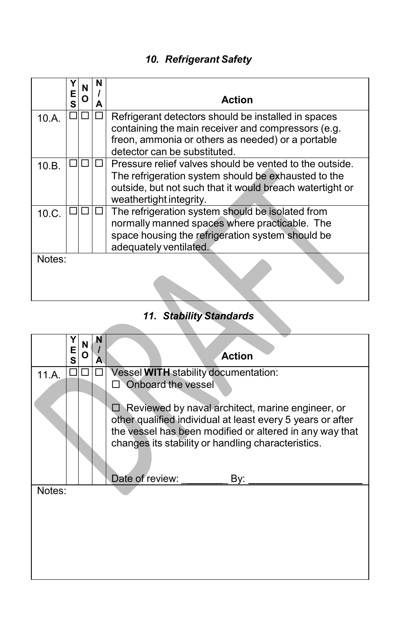#### *10. Refrigerant Safety*

|        | E<br>S | n | N<br>А | <b>Action</b>                                                                                             |  |
|--------|--------|---|--------|-----------------------------------------------------------------------------------------------------------|--|
| 10.A.  |        |   |        | Refrigerant detectors should be installed in spaces<br>containing the main receiver and compressors (e.g. |  |
|        |        |   |        | freon, ammonia or others as needed) or a portable                                                         |  |
|        |        |   |        | detector can be substituted.                                                                              |  |
| 10.B.  |        |   |        | Pressure relief valves should be vented to the outside.                                                   |  |
|        |        |   |        | The refrigeration system should be exhausted to the                                                       |  |
|        |        |   |        | outside, but not such that it would breach watertight or                                                  |  |
|        |        |   |        | weathertight integrity.                                                                                   |  |
| 10.C.  |        |   |        | The refrigeration system should be isolated from                                                          |  |
|        |        |   |        | normally manned spaces where practicable. The                                                             |  |
|        |        |   |        | space housing the refrigeration system should be                                                          |  |
|        |        |   |        | adequately ventilated.                                                                                    |  |
| Notes: |        |   |        |                                                                                                           |  |
|        |        |   |        |                                                                                                           |  |
|        |        |   |        |                                                                                                           |  |

# *11. Stability Standards*

|        | E<br>S | N<br>ი | N<br>А | Action                                                                                                                                                                                                                                                                                               |
|--------|--------|--------|--------|------------------------------------------------------------------------------------------------------------------------------------------------------------------------------------------------------------------------------------------------------------------------------------------------------|
| 11.A.  |        | ┑      |        | Vessel <b>WITH</b> stability documentation:<br>Onboard the vessel<br>Reviewed by naval architect, marine engineer, or<br>other qualified individual at least every 5 years or after<br>the vessel has been modified or altered in any way that<br>changes its stability or handling characteristics. |
|        |        |        |        | Date of review:<br>Bv:                                                                                                                                                                                                                                                                               |
| Notes: |        |        |        |                                                                                                                                                                                                                                                                                                      |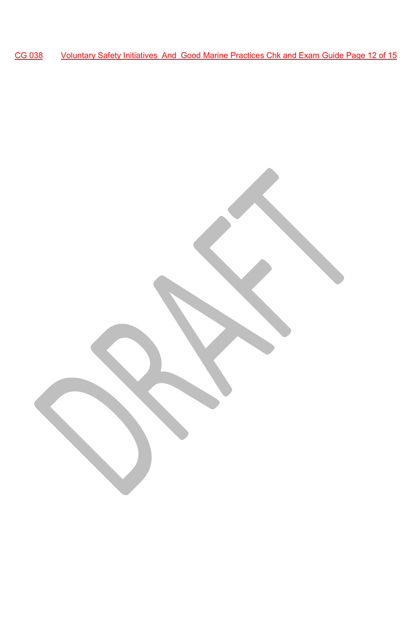CG 038 Voluntary Safety Initiatives And Good Marine Practices Chk and Exam Guide Page 12 of 15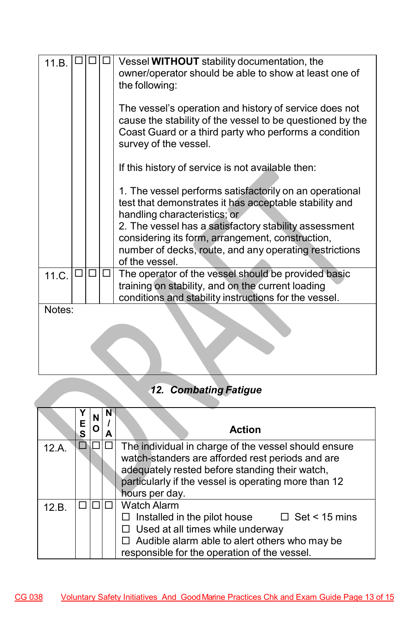| 11 B   |  |   | Vessel WITHOUT stability documentation, the<br>owner/operator should be able to show at least one of<br>the following:                                                                                |
|--------|--|---|-------------------------------------------------------------------------------------------------------------------------------------------------------------------------------------------------------|
|        |  |   | The vessel's operation and history of service does not<br>cause the stability of the vessel to be questioned by the<br>Coast Guard or a third party who performs a condition<br>survey of the vessel. |
|        |  |   | If this history of service is not available then:                                                                                                                                                     |
|        |  |   | 1. The vessel performs satisfactorily on an operational<br>test that demonstrates it has acceptable stability and<br>handling characteristics; or                                                     |
|        |  |   | 2. The vessel has a satisfactory stability assessment<br>considering its form, arrangement, construction,<br>number of decks, route, and any operating restrictions<br>of the vessel.                 |
| 11.C.  |  | ப | The operator of the vessel should be provided basic<br>training on stability, and on the current loading<br>conditions and stability instructions for the vessel.                                     |
| Notes: |  |   |                                                                                                                                                                                                       |

#### *12. Combating Fatigue*

|       | E<br>S |  | <b>Action</b>                                                                                                                                                                                                                        |
|-------|--------|--|--------------------------------------------------------------------------------------------------------------------------------------------------------------------------------------------------------------------------------------|
| 12.A. |        |  | The individual in charge of the vessel should ensure<br>watch-standers are afforded rest periods and are<br>adequately rested before standing their watch,<br>particularly if the vessel is operating more than 12<br>hours per day. |
| 12.B. |        |  | <b>Watch Alarm</b><br>$\Box$ Installed in the pilot house $\Box$ Set < 15 mins<br>$\Box$ Used at all times while underway<br>$\Box$ Audible alarm able to alert others who may be<br>responsible for the operation of the vessel.    |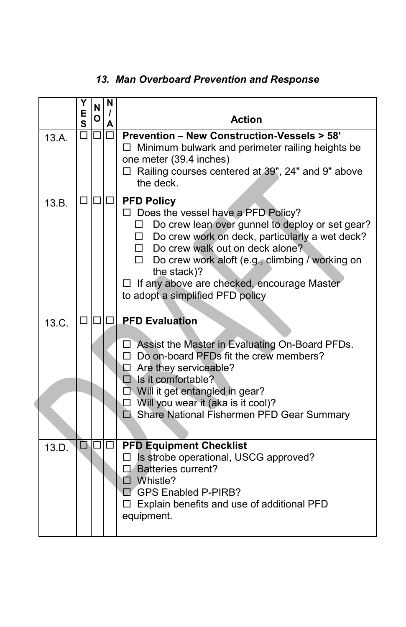# *13. Man Overboard Prevention and Response*

|       | E<br>S | N<br>O | N<br>$\prime$<br>$\mathbf{A}$ | <b>Action</b>                                                                                                                                                                                                                                                                                                                                                                                         |
|-------|--------|--------|-------------------------------|-------------------------------------------------------------------------------------------------------------------------------------------------------------------------------------------------------------------------------------------------------------------------------------------------------------------------------------------------------------------------------------------------------|
| 13.A. | $\Box$ | 10 I   |                               | $\Box$ Prevention - New Construction-Vessels > 58'<br>$\Box$ Minimum bulwark and perimeter railing heights be<br>one meter (39.4 inches)<br>$\Box$ Railing courses centered at 39", 24" and 9" above<br>the deck.                                                                                                                                                                                     |
| 13.B. |        |        |                               | $\Box  \Box  \Box$ PFD Policy<br>$\Box$ Does the vessel have a PFD Policy?<br>Do crew lean over gunnel to deploy or set gear?<br>ப<br>$\Box$ Do crew work on deck, particularly a wet deck?<br>$\Box$ Do crew walk out on deck alone?<br>Do crew work aloft (e.g., climbing / working on<br>$\Box$<br>the stack)?<br>□ If any above are checked, encourage Master<br>to adopt a simplified PFD policy |
| 13.C. |        |        |                               | $\Box$ $\Box$ $\Box$ PFD Evaluation<br>$\Box$ Assist the Master in Evaluating On-Board PFDs.<br>$\Box$ Do on-board PFDs fit the crew members?<br>$\Box$ Are they serviceable?<br>$\Box$ Is it comfortable?<br>$\Box$ Will it get entangled in gear?<br>$\Box$ Will you wear it (aka is it cool)?<br>□ Share National Fishermen PFD Gear Summary                                                       |
| 13.D. | D      |        | 미미                            | <b>PFD Equipment Checklist</b><br>$\Box$ Is strobe operational, USCG approved?<br>$\Box$ Batteries current?<br>□ Whistle?<br><b>T</b> GPS Enabled P-PIRB?<br>$\Box$ Explain benefits and use of additional PFD<br>equipment.                                                                                                                                                                          |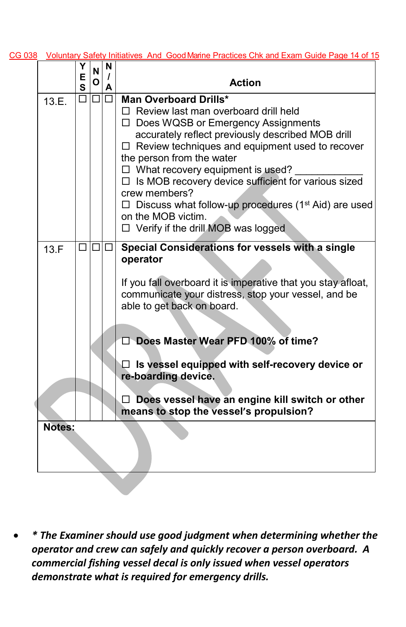CG 038 Voluntary Safety Initiatives And Good Marine Practices Chk and Exam Guide Page 14 of 15 13.E. **Man Overboard Drills\***  $\Box$  Review last man overboard drill held □ Does WQSB or Emergency Assignments accurately reflect previously described MOB drill  $\Box$  Review techniques and equipment used to recover the person from the water  $\Box$  What recovery equipment is used?  $\Box$  Is MOB recovery device sufficient for various sized crew members?  $\Box$  Discuss what follow-up procedures (1<sup>st</sup> Aid) are used on the MOB victim.  $\Box$  Verify if the drill MOB was logged 13.F  $\Box$  $\Box$  $\Box$  Special Considerations for vessels with a single **operator** If you fall overboard it is imperative that you stay afloat, communicate your distress, stop your vessel, and be able to get back on board. **Does Master Wear PFD 100% of time? Is vessel equipped with self-recovery device or re-boarding device. Does vessel have an engine kill switch or other means to stop the vessel's propulsion? Notes: Y E S N O N / <sup>A</sup> Action**

• *\* The Examiner should use good judgment when determining whether the operator and crew can safely and quickly recover a person overboard. A commercial fishing vessel decal is only issued when vessel operators demonstrate what is required for emergency drills.*